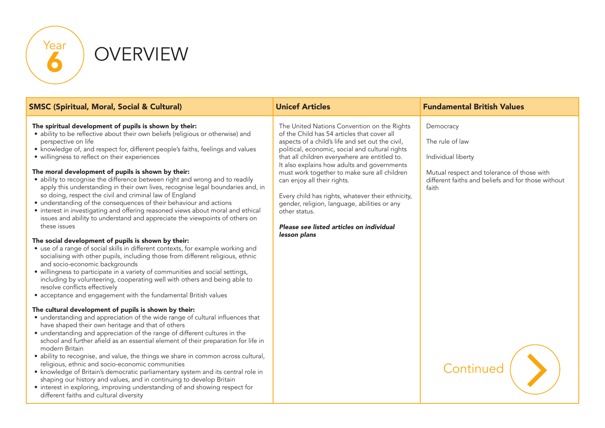

**OVERVIEW** 

| <b>SMSC (Spiritual, Moral, Social &amp; Cultural)</b>                                                                                                                                                                                                                                                                                                                                                                                                                                                                                                                                                                                                                                                                                                                                                                                                                                                                                                                                                                                                                                                                                                                                                                                                                                                                                                                              | <b>Unicef Articles</b>                                                                                                                                                                                                                                                                                                                                                                                                                                                                                                                                             | <b>Fundamental British Values</b>                                                                                                                               |
|------------------------------------------------------------------------------------------------------------------------------------------------------------------------------------------------------------------------------------------------------------------------------------------------------------------------------------------------------------------------------------------------------------------------------------------------------------------------------------------------------------------------------------------------------------------------------------------------------------------------------------------------------------------------------------------------------------------------------------------------------------------------------------------------------------------------------------------------------------------------------------------------------------------------------------------------------------------------------------------------------------------------------------------------------------------------------------------------------------------------------------------------------------------------------------------------------------------------------------------------------------------------------------------------------------------------------------------------------------------------------------|--------------------------------------------------------------------------------------------------------------------------------------------------------------------------------------------------------------------------------------------------------------------------------------------------------------------------------------------------------------------------------------------------------------------------------------------------------------------------------------------------------------------------------------------------------------------|-----------------------------------------------------------------------------------------------------------------------------------------------------------------|
| The spiritual development of pupils is shown by their:<br>• ability to be reflective about their own beliefs (religious or otherwise) and<br>perspective on life<br>• knowledge of, and respect for, different people's faiths, feelings and values<br>· willingness to reflect on their experiences<br>The moral development of pupils is shown by their:<br>• ability to recognise the difference between right and wrong and to readily<br>apply this understanding in their own lives, recognise legal boundaries and, in<br>so doing, respect the civil and criminal law of England<br>• understanding of the consequences of their behaviour and actions<br>• interest in investigating and offering reasoned views about moral and ethical<br>issues and ability to understand and appreciate the viewpoints of others on<br>these issues<br>The social development of pupils is shown by their:<br>• use of a range of social skills in different contexts, for example working and<br>socialising with other pupils, including those from different religious, ethnic<br>and socio-economic backgrounds<br>• willingness to participate in a variety of communities and social settings,<br>including by volunteering, cooperating well with others and being able to<br>resolve conflicts effectively<br>• acceptance and engagement with the fundamental British values | The United Nations Convention on the Rights<br>of the Child has 54 articles that cover all<br>aspects of a child's life and set out the civil,<br>political, economic, social and cultural rights<br>that all children everywhere are entitled to.<br>It also explains how adults and governments<br>must work together to make sure all children<br>can enjoy all their rights.<br>Every child has rights, whatever their ethnicity,<br>gender, religion, language, abilities or any<br>other status.<br>Please see listed articles on individual<br>lesson plans | Democracy<br>The rule of law<br>Individual liberty<br>Mutual respect and tolerance of those with<br>different faiths and beliefs and for those without<br>faith |
| The cultural development of pupils is shown by their:<br>• understanding and appreciation of the wide range of cultural influences that<br>have shaped their own heritage and that of others<br>• understanding and appreciation of the range of different cultures in the<br>school and further afield as an essential element of their preparation for life in<br>modern Britain<br>• ability to recognise, and value, the things we share in common across cultural,<br>religious, ethnic and socio-economic communities<br>• knowledge of Britain's democratic parliamentary system and its central role in<br>shaping our history and values, and in continuing to develop Britain<br>• interest in exploring, improving understanding of and showing respect for<br>different faiths and cultural diversity                                                                                                                                                                                                                                                                                                                                                                                                                                                                                                                                                                  |                                                                                                                                                                                                                                                                                                                                                                                                                                                                                                                                                                    | Continued                                                                                                                                                       |